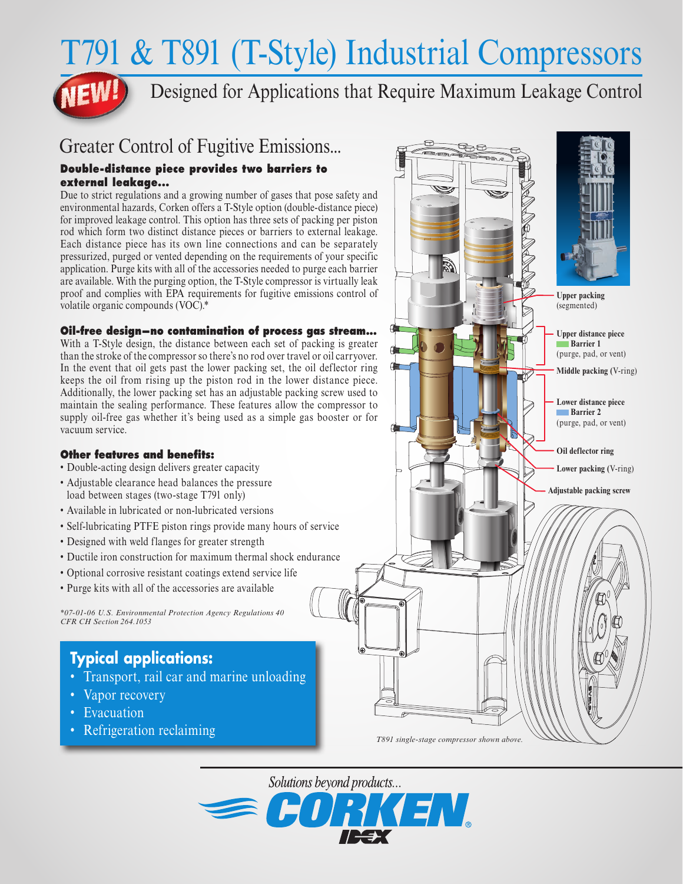# T791 & T891 (T-Style) Industrial Compressors

Designed for Applications that Require Maximum Leakage Control

# Greater Control of Fugitive Emissions...

#### **Double-distance piece provides two barriers to external leakage...**

Due to strict regulations and a growing number of gases that pose safety and environmental hazards, Corken offers a T-Style option (double-distance piece) for improved leakage control. This option has three sets of packing per piston rod which form two distinct distance pieces or barriers to external leakage. Each distance piece has its own line connections and can be separately pressurized, purged or vented depending on the requirements of your specific application. Purge kits with all of the accessories needed to purge each barrier are available. With the purging option, the T-Style compressor is virtually leak proof and complies with EPA requirements for fugitive emissions control of volatile organic compounds (VOC).\*

### **Oil-free design—no contamination of process gas stream...**

With a T-Style design, the distance between each set of packing is greater than the stroke of the compressor so there's no rod over travel or oil carryover. In the event that oil gets past the lower packing set, the oil deflector ring keeps the oil from rising up the piston rod in the lower distance piece. Additionally, the lower packing set has an adjustable packing screw used to maintain the sealing performance. These features allow the compressor to supply oil-free gas whether it's being used as a simple gas booster or for vacuum service.

#### **Other features and benefits:**

- Double-acting design delivers greater capacity
- Adjustable clearance head balances the pressure load between stages (two-stage T791 only)
- Available in lubricated or non-lubricated versions
- Self-lubricating PTFE piston rings provide many hours of service
- Designed with weld flanges for greater strength
- Ductile iron construction for maximum thermal shock endurance
- Optional corrosive resistant coatings extend service life
- Purge kits with all of the accessories are available

*\*07-01-06 U.S. Environmental Protection Agency Regulations 40 CFR CH Section 264.1053*

# **Typical applications:**

- Transport, rail car and marine unloading
- Vapor recovery
- Evacuation
- Refrigeration reclaiming



*T891 single-stage compressor shown above.*